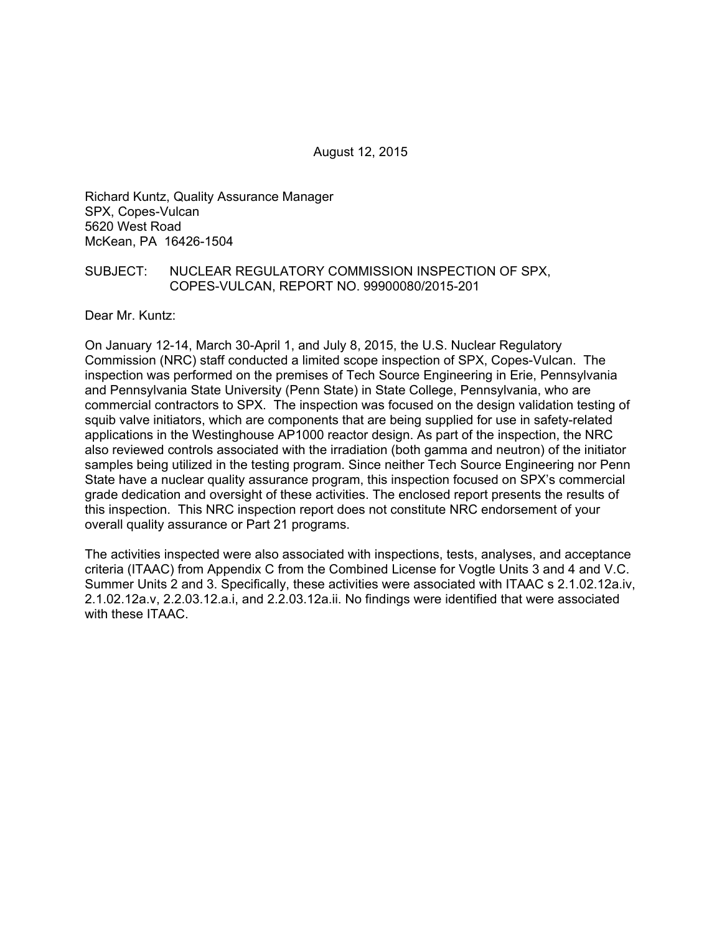August 12, 2015

Richard Kuntz, Quality Assurance Manager SPX, Copes-Vulcan 5620 West Road McKean, PA 16426-1504

#### SUBJECT: NUCLEAR REGULATORY COMMISSION INSPECTION OF SPX, COPES-VULCAN, REPORT NO. 99900080/2015-201

Dear Mr. Kuntz:

On January 12-14, March 30-April 1, and July 8, 2015, the U.S. Nuclear Regulatory Commission (NRC) staff conducted a limited scope inspection of SPX, Copes-Vulcan. The inspection was performed on the premises of Tech Source Engineering in Erie, Pennsylvania and Pennsylvania State University (Penn State) in State College, Pennsylvania, who are commercial contractors to SPX. The inspection was focused on the design validation testing of squib valve initiators, which are components that are being supplied for use in safety-related applications in the Westinghouse AP1000 reactor design. As part of the inspection, the NRC also reviewed controls associated with the irradiation (both gamma and neutron) of the initiator samples being utilized in the testing program. Since neither Tech Source Engineering nor Penn State have a nuclear quality assurance program, this inspection focused on SPX's commercial grade dedication and oversight of these activities. The enclosed report presents the results of this inspection. This NRC inspection report does not constitute NRC endorsement of your overall quality assurance or Part 21 programs.

The activities inspected were also associated with inspections, tests, analyses, and acceptance criteria (ITAAC) from Appendix C from the Combined License for Vogtle Units 3 and 4 and V.C. Summer Units 2 and 3. Specifically, these activities were associated with ITAAC s 2.1.02.12a.iv, 2.1.02.12a.v, 2.2.03.12.a.i, and 2.2.03.12a.ii. No findings were identified that were associated with these ITAAC.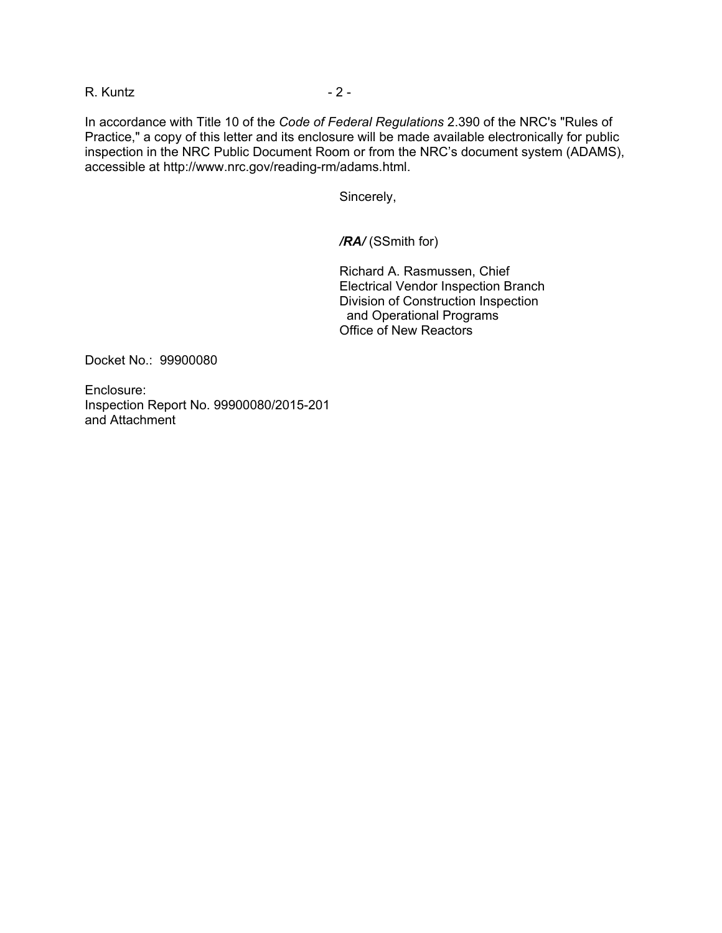R. Kuntz - 2 -

In accordance with Title 10 of the *Code of Federal Regulations* 2.390 of the NRC's "Rules of Practice," a copy of this letter and its enclosure will be made available electronically for public inspection in the NRC Public Document Room or from the NRC's document system (ADAMS), accessible at http://www.nrc.gov/reading-rm/adams.html.

Sincerely,

*/RA/* (SSmith for)

Richard A. Rasmussen, Chief Electrical Vendor Inspection Branch Division of Construction Inspection and Operational Programs Office of New Reactors

Docket No.: 99900080

Enclosure: Inspection Report No. 99900080/2015-201 and Attachment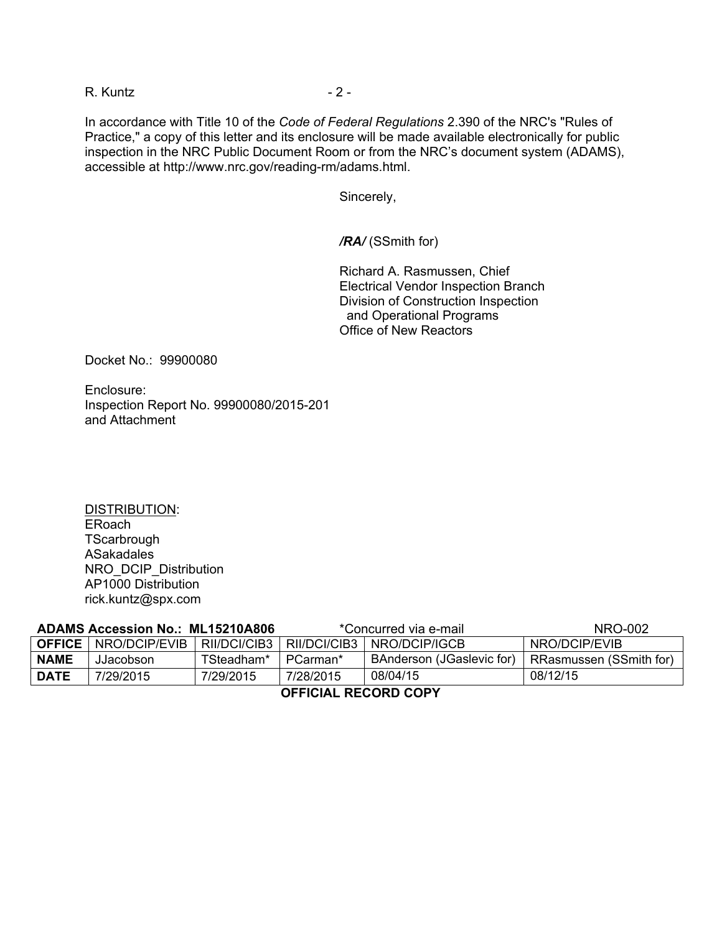R. Kuntz - 2 -

In accordance with Title 10 of the *Code of Federal Regulations* 2.390 of the NRC's "Rules of Practice," a copy of this letter and its enclosure will be made available electronically for public inspection in the NRC Public Document Room or from the NRC's document system (ADAMS), accessible at http://www.nrc.gov/reading-rm/adams.html.

Sincerely,

*/RA/* (SSmith for)

Richard A. Rasmussen, Chief Electrical Vendor Inspection Branch Division of Construction Inspection and Operational Programs Office of New Reactors

Docket No.: 99900080

Enclosure: Inspection Report No. 99900080/2015-201 and Attachment

DISTRIBUTION: ERoach **TScarbrough** ASakadales NRO\_DCIP\_Distribution AP1000 Distribution rick.kuntz@spx.com

| <b>ADAMS Accession No.: ML15210A806</b> |                               |              | *Concurred via e-mail |                           | NRO-002                 |
|-----------------------------------------|-------------------------------|--------------|-----------------------|---------------------------|-------------------------|
|                                         | <b>OFFICE</b>   NRO/DCIP/EVIB | RII/DCI/CIB3 | RII/DCI/CIB3          | NRO/DCIP/IGCB             | NRO/DCIP/EVIB           |
| <b>NAME</b>                             | JJacobson                     | TSteadham*   | PCarman*              | BAnderson (JGaslevic for) | RRasmussen (SSmith for) |
| <b>DATE</b>                             | 7/29/2015                     | 7/29/2015    | 7/28/2015             | 08/04/15                  | 08/12/15                |
| AFFIAILL BEAARD AABV                    |                               |              |                       |                           |                         |

**OFFICIAL RECORD COPY**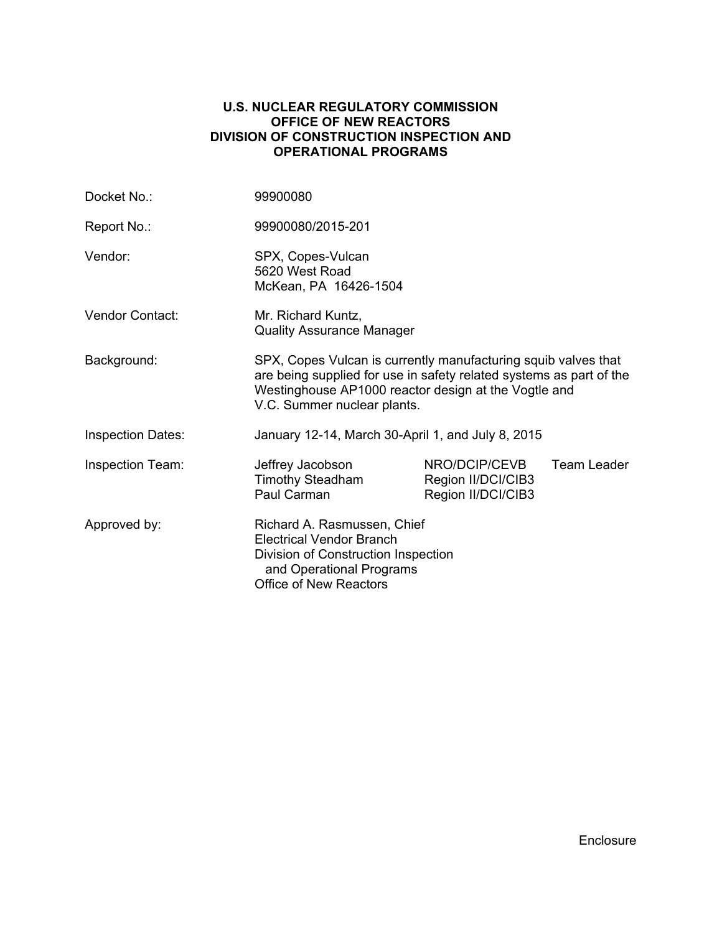## **U.S. NUCLEAR REGULATORY COMMISSION OFFICE OF NEW REACTORS DIVISION OF CONSTRUCTION INSPECTION AND OPERATIONAL PROGRAMS**

| Docket No.:              | 99900080                                                                                                                                                                                                                     |                                                           |             |  |
|--------------------------|------------------------------------------------------------------------------------------------------------------------------------------------------------------------------------------------------------------------------|-----------------------------------------------------------|-------------|--|
| Report No.:              | 99900080/2015-201                                                                                                                                                                                                            |                                                           |             |  |
| Vendor:                  | SPX, Copes-Vulcan<br>5620 West Road<br>McKean, PA 16426-1504                                                                                                                                                                 |                                                           |             |  |
| Vendor Contact:          | Mr. Richard Kuntz,<br><b>Quality Assurance Manager</b>                                                                                                                                                                       |                                                           |             |  |
| Background:              | SPX, Copes Vulcan is currently manufacturing squib valves that<br>are being supplied for use in safety related systems as part of the<br>Westinghouse AP1000 reactor design at the Vogtle and<br>V.C. Summer nuclear plants. |                                                           |             |  |
| <b>Inspection Dates:</b> | January 12-14, March 30-April 1, and July 8, 2015                                                                                                                                                                            |                                                           |             |  |
| <b>Inspection Team:</b>  | Jeffrey Jacobson<br><b>Timothy Steadham</b><br>Paul Carman                                                                                                                                                                   | NRO/DCIP/CEVB<br>Region II/DCI/CIB3<br>Region II/DCI/CIB3 | Team Leader |  |
| Approved by:             | Richard A. Rasmussen, Chief<br><b>Electrical Vendor Branch</b><br>Division of Construction Inspection<br>and Operational Programs<br>Office of New Reactors                                                                  |                                                           |             |  |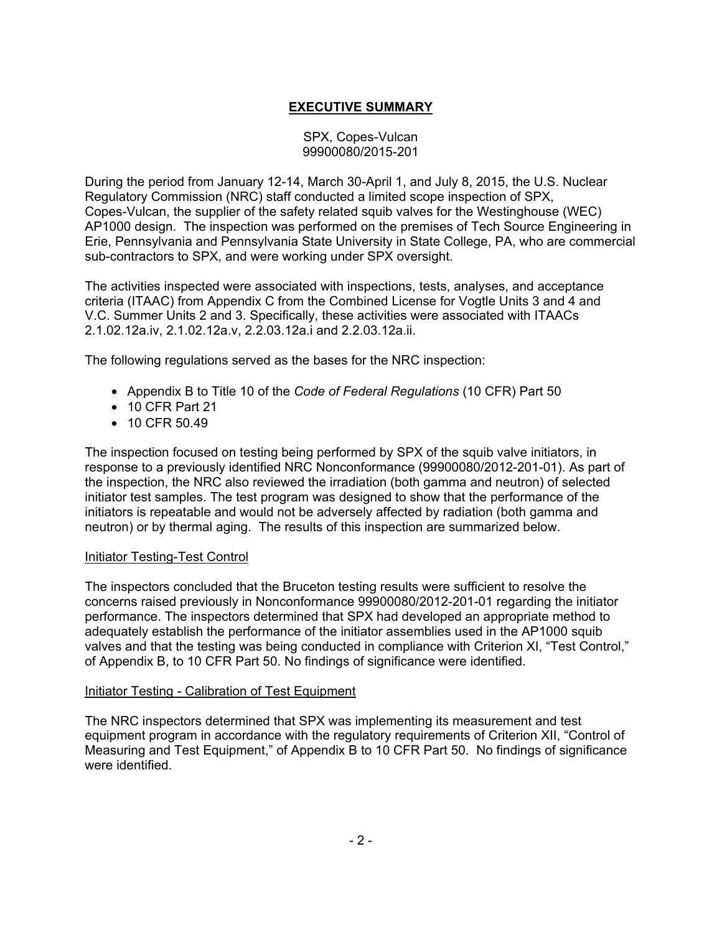# **EXECUTIVE SUMMARY**

## SPX, Copes-Vulcan 99900080/2015-201

During the period from January 12-14, March 30-April 1, and July 8, 2015, the U.S. Nuclear Regulatory Commission (NRC) staff conducted a limited scope inspection of SPX, Copes-Vulcan, the supplier of the safety related squib valves for the Westinghouse (WEC) AP1000 design. The inspection was performed on the premises of Tech Source Engineering in Erie, Pennsylvania and Pennsylvania State University in State College, PA, who are commercial sub-contractors to SPX, and were working under SPX oversight.

The activities inspected were associated with inspections, tests, analyses, and acceptance criteria (ITAAC) from Appendix C from the Combined License for Vogtle Units 3 and 4 and V.C. Summer Units 2 and 3. Specifically, these activities were associated with ITAACs 2.1.02.12a.iv, 2.1.02.12a.v, 2.2.03.12a.i and 2.2.03.12a.ii.

The following regulations served as the bases for the NRC inspection:

- Appendix B to Title 10 of the *Code of Federal Regulations* (10 CFR) Part 50
- 10 CFR Part 21
- 10 CFR 50.49

The inspection focused on testing being performed by SPX of the squib valve initiators, in response to a previously identified NRC Nonconformance (99900080/2012-201-01). As part of the inspection, the NRC also reviewed the irradiation (both gamma and neutron) of selected initiator test samples. The test program was designed to show that the performance of the initiators is repeatable and would not be adversely affected by radiation (both gamma and neutron) or by thermal aging. The results of this inspection are summarized below.

#### Initiator Testing-Test Control

The inspectors concluded that the Bruceton testing results were sufficient to resolve the concerns raised previously in Nonconformance 99900080/2012-201-01 regarding the initiator performance. The inspectors determined that SPX had developed an appropriate method to adequately establish the performance of the initiator assemblies used in the AP1000 squib valves and that the testing was being conducted in compliance with Criterion XI, "Test Control," of Appendix B, to 10 CFR Part 50. No findings of significance were identified.

#### Initiator Testing - Calibration of Test Equipment

The NRC inspectors determined that SPX was implementing its measurement and test equipment program in accordance with the regulatory requirements of Criterion XII, "Control of Measuring and Test Equipment," of Appendix B to 10 CFR Part 50. No findings of significance were identified.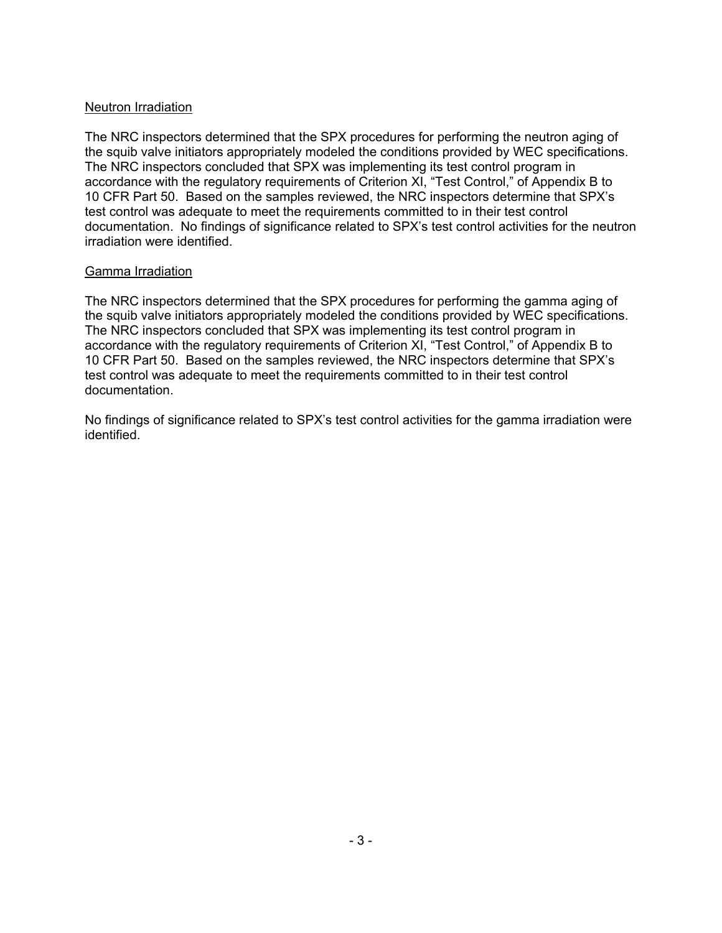# Neutron Irradiation

The NRC inspectors determined that the SPX procedures for performing the neutron aging of the squib valve initiators appropriately modeled the conditions provided by WEC specifications. The NRC inspectors concluded that SPX was implementing its test control program in accordance with the regulatory requirements of Criterion XI, "Test Control," of Appendix B to 10 CFR Part 50. Based on the samples reviewed, the NRC inspectors determine that SPX's test control was adequate to meet the requirements committed to in their test control documentation. No findings of significance related to SPX's test control activities for the neutron irradiation were identified.

## Gamma Irradiation

The NRC inspectors determined that the SPX procedures for performing the gamma aging of the squib valve initiators appropriately modeled the conditions provided by WEC specifications. The NRC inspectors concluded that SPX was implementing its test control program in accordance with the regulatory requirements of Criterion XI, "Test Control," of Appendix B to 10 CFR Part 50. Based on the samples reviewed, the NRC inspectors determine that SPX's test control was adequate to meet the requirements committed to in their test control documentation.

No findings of significance related to SPX's test control activities for the gamma irradiation were identified.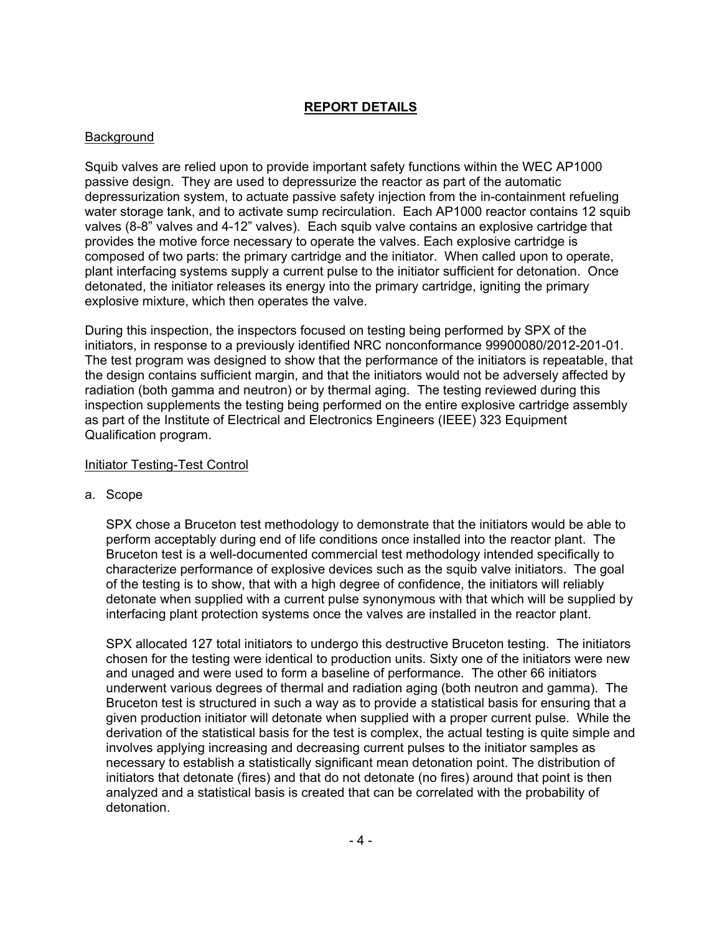# **REPORT DETAILS**

# Background

Squib valves are relied upon to provide important safety functions within the WEC AP1000 passive design. They are used to depressurize the reactor as part of the automatic depressurization system, to actuate passive safety injection from the in-containment refueling water storage tank, and to activate sump recirculation. Each AP1000 reactor contains 12 squib valves (8-8" valves and 4-12" valves). Each squib valve contains an explosive cartridge that provides the motive force necessary to operate the valves. Each explosive cartridge is composed of two parts: the primary cartridge and the initiator. When called upon to operate, plant interfacing systems supply a current pulse to the initiator sufficient for detonation. Once detonated, the initiator releases its energy into the primary cartridge, igniting the primary explosive mixture, which then operates the valve.

During this inspection, the inspectors focused on testing being performed by SPX of the initiators, in response to a previously identified NRC nonconformance 99900080/2012-201-01. The test program was designed to show that the performance of the initiators is repeatable, that the design contains sufficient margin, and that the initiators would not be adversely affected by radiation (both gamma and neutron) or by thermal aging. The testing reviewed during this inspection supplements the testing being performed on the entire explosive cartridge assembly as part of the Institute of Electrical and Electronics Engineers (IEEE) 323 Equipment Qualification program.

## Initiator Testing-Test Control

a. Scope

SPX chose a Bruceton test methodology to demonstrate that the initiators would be able to perform acceptably during end of life conditions once installed into the reactor plant. The Bruceton test is a well-documented commercial test methodology intended specifically to characterize performance of explosive devices such as the squib valve initiators. The goal of the testing is to show, that with a high degree of confidence, the initiators will reliably detonate when supplied with a current pulse synonymous with that which will be supplied by interfacing plant protection systems once the valves are installed in the reactor plant.

SPX allocated 127 total initiators to undergo this destructive Bruceton testing. The initiators chosen for the testing were identical to production units. Sixty one of the initiators were new and unaged and were used to form a baseline of performance. The other 66 initiators underwent various degrees of thermal and radiation aging (both neutron and gamma). The Bruceton test is structured in such a way as to provide a statistical basis for ensuring that a given production initiator will detonate when supplied with a proper current pulse. While the derivation of the statistical basis for the test is complex, the actual testing is quite simple and involves applying increasing and decreasing current pulses to the initiator samples as necessary to establish a statistically significant mean detonation point. The distribution of initiators that detonate (fires) and that do not detonate (no fires) around that point is then analyzed and a statistical basis is created that can be correlated with the probability of detonation.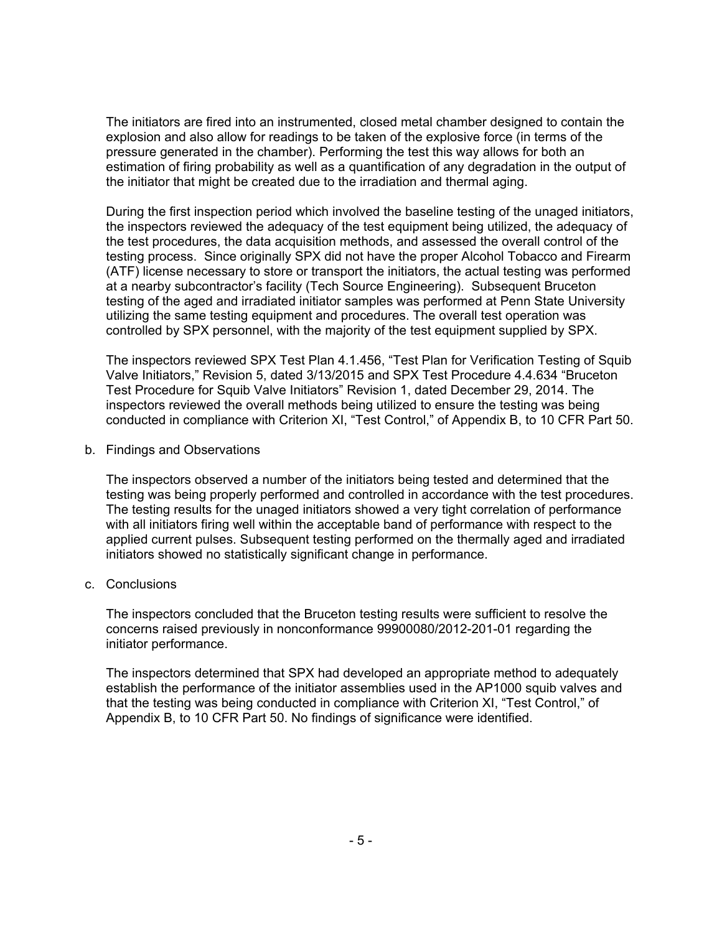The initiators are fired into an instrumented, closed metal chamber designed to contain the explosion and also allow for readings to be taken of the explosive force (in terms of the pressure generated in the chamber). Performing the test this way allows for both an estimation of firing probability as well as a quantification of any degradation in the output of the initiator that might be created due to the irradiation and thermal aging.

During the first inspection period which involved the baseline testing of the unaged initiators, the inspectors reviewed the adequacy of the test equipment being utilized, the adequacy of the test procedures, the data acquisition methods, and assessed the overall control of the testing process. Since originally SPX did not have the proper Alcohol Tobacco and Firearm (ATF) license necessary to store or transport the initiators, the actual testing was performed at a nearby subcontractor's facility (Tech Source Engineering). Subsequent Bruceton testing of the aged and irradiated initiator samples was performed at Penn State University utilizing the same testing equipment and procedures. The overall test operation was controlled by SPX personnel, with the majority of the test equipment supplied by SPX.

The inspectors reviewed SPX Test Plan 4.1.456, "Test Plan for Verification Testing of Squib Valve Initiators," Revision 5, dated 3/13/2015 and SPX Test Procedure 4.4.634 "Bruceton Test Procedure for Squib Valve Initiators" Revision 1, dated December 29, 2014. The inspectors reviewed the overall methods being utilized to ensure the testing was being conducted in compliance with Criterion XI, "Test Control," of Appendix B, to 10 CFR Part 50.

b. Findings and Observations

The inspectors observed a number of the initiators being tested and determined that the testing was being properly performed and controlled in accordance with the test procedures. The testing results for the unaged initiators showed a very tight correlation of performance with all initiators firing well within the acceptable band of performance with respect to the applied current pulses. Subsequent testing performed on the thermally aged and irradiated initiators showed no statistically significant change in performance.

c. Conclusions

The inspectors concluded that the Bruceton testing results were sufficient to resolve the concerns raised previously in nonconformance 99900080/2012-201-01 regarding the initiator performance.

The inspectors determined that SPX had developed an appropriate method to adequately establish the performance of the initiator assemblies used in the AP1000 squib valves and that the testing was being conducted in compliance with Criterion XI, "Test Control," of Appendix B, to 10 CFR Part 50. No findings of significance were identified.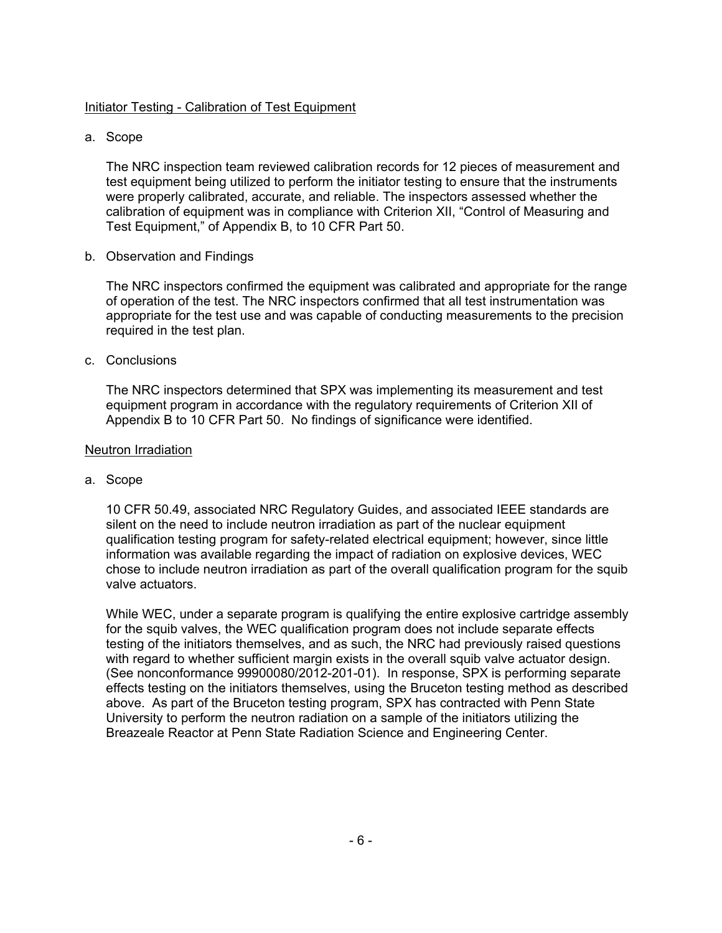# Initiator Testing - Calibration of Test Equipment

a. Scope

The NRC inspection team reviewed calibration records for 12 pieces of measurement and test equipment being utilized to perform the initiator testing to ensure that the instruments were properly calibrated, accurate, and reliable. The inspectors assessed whether the calibration of equipment was in compliance with Criterion XII, "Control of Measuring and Test Equipment," of Appendix B, to 10 CFR Part 50.

b. Observation and Findings

The NRC inspectors confirmed the equipment was calibrated and appropriate for the range of operation of the test. The NRC inspectors confirmed that all test instrumentation was appropriate for the test use and was capable of conducting measurements to the precision required in the test plan.

c. Conclusions

The NRC inspectors determined that SPX was implementing its measurement and test equipment program in accordance with the regulatory requirements of Criterion XII of Appendix B to 10 CFR Part 50. No findings of significance were identified.

# Neutron Irradiation

a. Scope

10 CFR 50.49, associated NRC Regulatory Guides, and associated IEEE standards are silent on the need to include neutron irradiation as part of the nuclear equipment qualification testing program for safety-related electrical equipment; however, since little information was available regarding the impact of radiation on explosive devices, WEC chose to include neutron irradiation as part of the overall qualification program for the squib valve actuators.

While WEC, under a separate program is qualifying the entire explosive cartridge assembly for the squib valves, the WEC qualification program does not include separate effects testing of the initiators themselves, and as such, the NRC had previously raised questions with regard to whether sufficient margin exists in the overall squib valve actuator design. (See nonconformance 99900080/2012-201-01). In response, SPX is performing separate effects testing on the initiators themselves, using the Bruceton testing method as described above. As part of the Bruceton testing program, SPX has contracted with Penn State University to perform the neutron radiation on a sample of the initiators utilizing the Breazeale Reactor at Penn State Radiation Science and Engineering Center.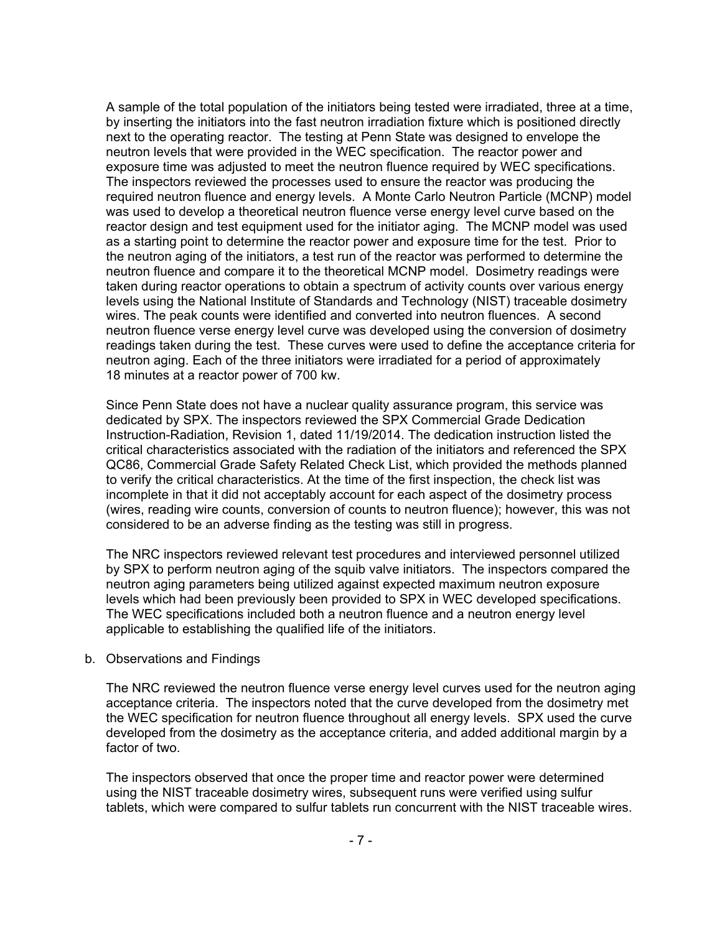A sample of the total population of the initiators being tested were irradiated, three at a time, by inserting the initiators into the fast neutron irradiation fixture which is positioned directly next to the operating reactor. The testing at Penn State was designed to envelope the neutron levels that were provided in the WEC specification. The reactor power and exposure time was adjusted to meet the neutron fluence required by WEC specifications. The inspectors reviewed the processes used to ensure the reactor was producing the required neutron fluence and energy levels. A Monte Carlo Neutron Particle (MCNP) model was used to develop a theoretical neutron fluence verse energy level curve based on the reactor design and test equipment used for the initiator aging. The MCNP model was used as a starting point to determine the reactor power and exposure time for the test. Prior to the neutron aging of the initiators, a test run of the reactor was performed to determine the neutron fluence and compare it to the theoretical MCNP model. Dosimetry readings were taken during reactor operations to obtain a spectrum of activity counts over various energy levels using the National Institute of Standards and Technology (NIST) traceable dosimetry wires. The peak counts were identified and converted into neutron fluences. A second neutron fluence verse energy level curve was developed using the conversion of dosimetry readings taken during the test. These curves were used to define the acceptance criteria for neutron aging. Each of the three initiators were irradiated for a period of approximately 18 minutes at a reactor power of 700 kw.

Since Penn State does not have a nuclear quality assurance program, this service was dedicated by SPX. The inspectors reviewed the SPX Commercial Grade Dedication Instruction-Radiation, Revision 1, dated 11/19/2014. The dedication instruction listed the critical characteristics associated with the radiation of the initiators and referenced the SPX QC86, Commercial Grade Safety Related Check List, which provided the methods planned to verify the critical characteristics. At the time of the first inspection, the check list was incomplete in that it did not acceptably account for each aspect of the dosimetry process (wires, reading wire counts, conversion of counts to neutron fluence); however, this was not considered to be an adverse finding as the testing was still in progress.

The NRC inspectors reviewed relevant test procedures and interviewed personnel utilized by SPX to perform neutron aging of the squib valve initiators. The inspectors compared the neutron aging parameters being utilized against expected maximum neutron exposure levels which had been previously been provided to SPX in WEC developed specifications. The WEC specifications included both a neutron fluence and a neutron energy level applicable to establishing the qualified life of the initiators.

#### b. Observations and Findings

The NRC reviewed the neutron fluence verse energy level curves used for the neutron aging acceptance criteria. The inspectors noted that the curve developed from the dosimetry met the WEC specification for neutron fluence throughout all energy levels. SPX used the curve developed from the dosimetry as the acceptance criteria, and added additional margin by a factor of two.

The inspectors observed that once the proper time and reactor power were determined using the NIST traceable dosimetry wires, subsequent runs were verified using sulfur tablets, which were compared to sulfur tablets run concurrent with the NIST traceable wires.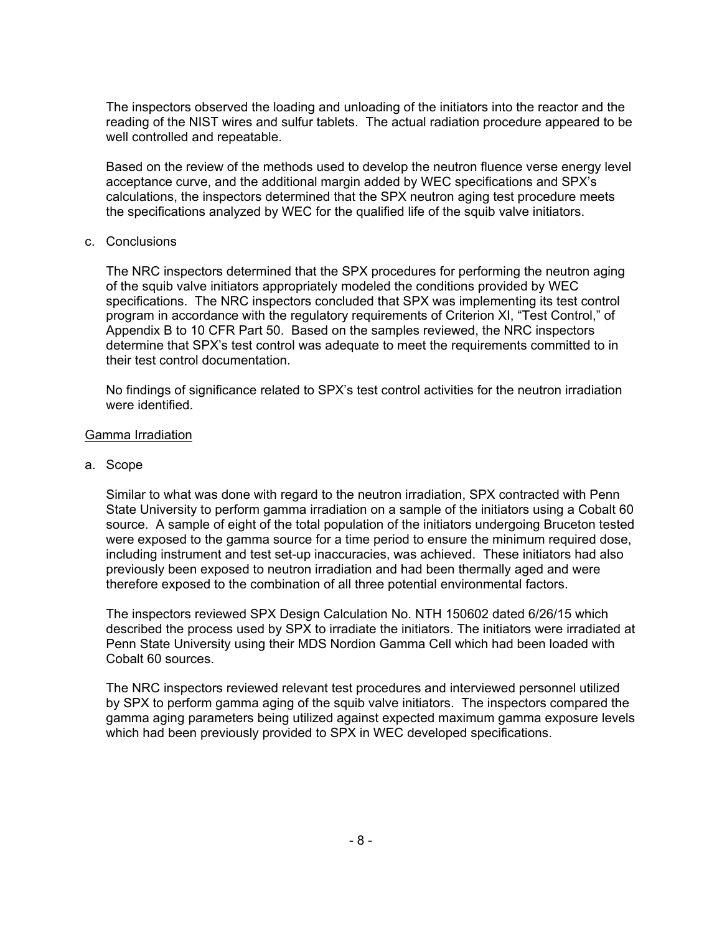The inspectors observed the loading and unloading of the initiators into the reactor and the reading of the NIST wires and sulfur tablets. The actual radiation procedure appeared to be well controlled and repeatable.

Based on the review of the methods used to develop the neutron fluence verse energy level acceptance curve, and the additional margin added by WEC specifications and SPX's calculations, the inspectors determined that the SPX neutron aging test procedure meets the specifications analyzed by WEC for the qualified life of the squib valve initiators.

#### c. Conclusions

The NRC inspectors determined that the SPX procedures for performing the neutron aging of the squib valve initiators appropriately modeled the conditions provided by WEC specifications. The NRC inspectors concluded that SPX was implementing its test control program in accordance with the regulatory requirements of Criterion XI, "Test Control," of Appendix B to 10 CFR Part 50. Based on the samples reviewed, the NRC inspectors determine that SPX's test control was adequate to meet the requirements committed to in their test control documentation.

No findings of significance related to SPX's test control activities for the neutron irradiation were identified.

#### Gamma Irradiation

#### a. Scope

Similar to what was done with regard to the neutron irradiation, SPX contracted with Penn State University to perform gamma irradiation on a sample of the initiators using a Cobalt 60 source. A sample of eight of the total population of the initiators undergoing Bruceton tested were exposed to the gamma source for a time period to ensure the minimum required dose, including instrument and test set-up inaccuracies, was achieved. These initiators had also previously been exposed to neutron irradiation and had been thermally aged and were therefore exposed to the combination of all three potential environmental factors.

The inspectors reviewed SPX Design Calculation No. NTH 150602 dated 6/26/15 which described the process used by SPX to irradiate the initiators. The initiators were irradiated at Penn State University using their MDS Nordion Gamma Cell which had been loaded with Cobalt 60 sources.

The NRC inspectors reviewed relevant test procedures and interviewed personnel utilized by SPX to perform gamma aging of the squib valve initiators. The inspectors compared the gamma aging parameters being utilized against expected maximum gamma exposure levels which had been previously provided to SPX in WEC developed specifications.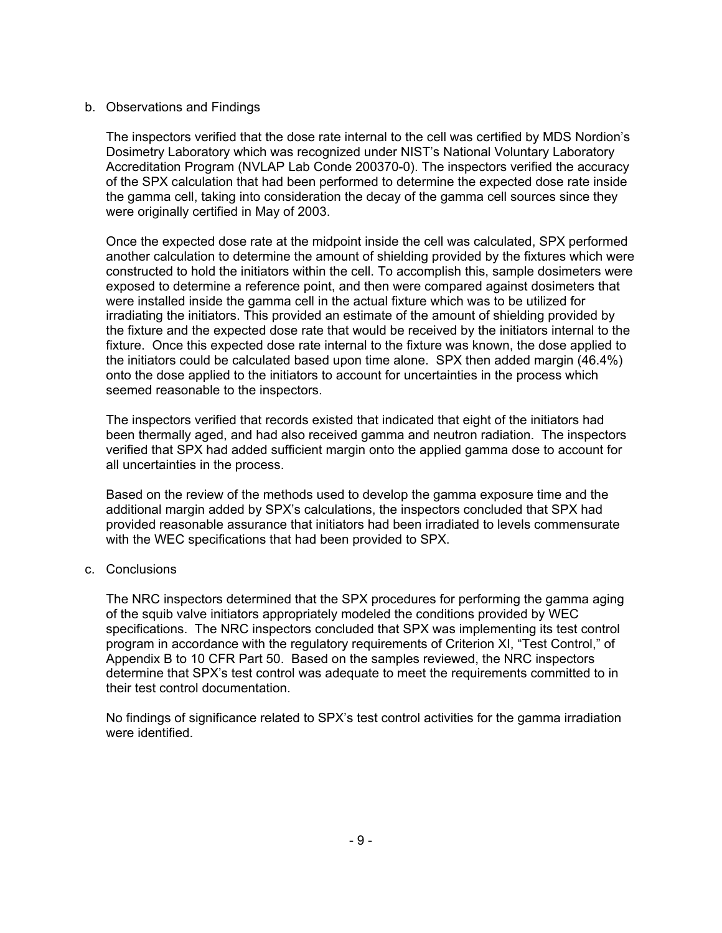# b. Observations and Findings

The inspectors verified that the dose rate internal to the cell was certified by MDS Nordion's Dosimetry Laboratory which was recognized under NIST's National Voluntary Laboratory Accreditation Program (NVLAP Lab Conde 200370-0). The inspectors verified the accuracy of the SPX calculation that had been performed to determine the expected dose rate inside the gamma cell, taking into consideration the decay of the gamma cell sources since they were originally certified in May of 2003.

Once the expected dose rate at the midpoint inside the cell was calculated, SPX performed another calculation to determine the amount of shielding provided by the fixtures which were constructed to hold the initiators within the cell. To accomplish this, sample dosimeters were exposed to determine a reference point, and then were compared against dosimeters that were installed inside the gamma cell in the actual fixture which was to be utilized for irradiating the initiators. This provided an estimate of the amount of shielding provided by the fixture and the expected dose rate that would be received by the initiators internal to the fixture. Once this expected dose rate internal to the fixture was known, the dose applied to the initiators could be calculated based upon time alone. SPX then added margin (46.4%) onto the dose applied to the initiators to account for uncertainties in the process which seemed reasonable to the inspectors.

The inspectors verified that records existed that indicated that eight of the initiators had been thermally aged, and had also received gamma and neutron radiation. The inspectors verified that SPX had added sufficient margin onto the applied gamma dose to account for all uncertainties in the process.

Based on the review of the methods used to develop the gamma exposure time and the additional margin added by SPX's calculations, the inspectors concluded that SPX had provided reasonable assurance that initiators had been irradiated to levels commensurate with the WEC specifications that had been provided to SPX.

c. Conclusions

The NRC inspectors determined that the SPX procedures for performing the gamma aging of the squib valve initiators appropriately modeled the conditions provided by WEC specifications. The NRC inspectors concluded that SPX was implementing its test control program in accordance with the regulatory requirements of Criterion XI, "Test Control," of Appendix B to 10 CFR Part 50. Based on the samples reviewed, the NRC inspectors determine that SPX's test control was adequate to meet the requirements committed to in their test control documentation.

No findings of significance related to SPX's test control activities for the gamma irradiation were identified.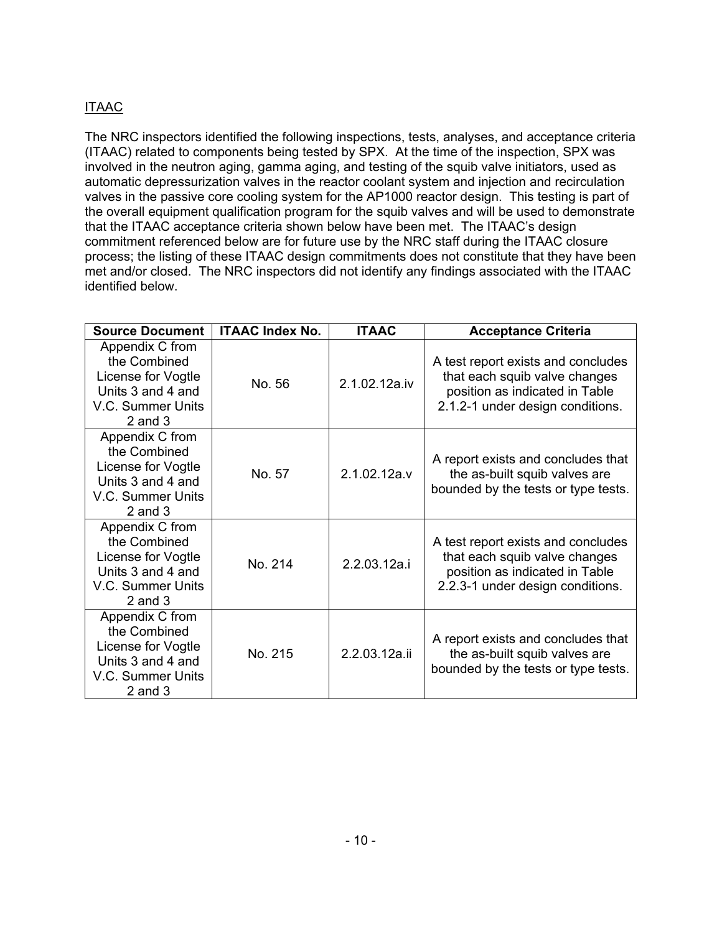# ITAAC

The NRC inspectors identified the following inspections, tests, analyses, and acceptance criteria (ITAAC) related to components being tested by SPX. At the time of the inspection, SPX was involved in the neutron aging, gamma aging, and testing of the squib valve initiators, used as automatic depressurization valves in the reactor coolant system and injection and recirculation valves in the passive core cooling system for the AP1000 reactor design. This testing is part of the overall equipment qualification program for the squib valves and will be used to demonstrate that the ITAAC acceptance criteria shown below have been met. The ITAAC's design commitment referenced below are for future use by the NRC staff during the ITAAC closure process; the listing of these ITAAC design commitments does not constitute that they have been met and/or closed. The NRC inspectors did not identify any findings associated with the ITAAC identified below.

| <b>Source Document</b>                                                                                         | <b>ITAAC Index No.</b> | <b>ITAAC</b>  | <b>Acceptance Criteria</b>                                                                                                                |
|----------------------------------------------------------------------------------------------------------------|------------------------|---------------|-------------------------------------------------------------------------------------------------------------------------------------------|
| Appendix C from<br>the Combined<br>License for Vogtle<br>Units 3 and 4 and<br>V.C. Summer Units<br>$2$ and $3$ | No. 56                 | 2.1.02.12a.iv | A test report exists and concludes<br>that each squib valve changes<br>position as indicated in Table<br>2.1.2-1 under design conditions. |
| Appendix C from<br>the Combined<br>License for Vogtle<br>Units 3 and 4 and<br>V.C. Summer Units<br>$2$ and $3$ | No. 57                 | 2.1.02.12a.v  | A report exists and concludes that<br>the as-built squib valves are<br>bounded by the tests or type tests.                                |
| Appendix C from<br>the Combined<br>License for Vogtle<br>Units 3 and 4 and<br>V.C. Summer Units<br>$2$ and $3$ | No. 214                | 2.2.03.12a.i  | A test report exists and concludes<br>that each squib valve changes<br>position as indicated in Table<br>2.2.3-1 under design conditions. |
| Appendix C from<br>the Combined<br>License for Vogtle<br>Units 3 and 4 and<br>V.C. Summer Units<br>$2$ and $3$ | No. 215                | 2.2.03.12a.ii | A report exists and concludes that<br>the as-built squib valves are<br>bounded by the tests or type tests.                                |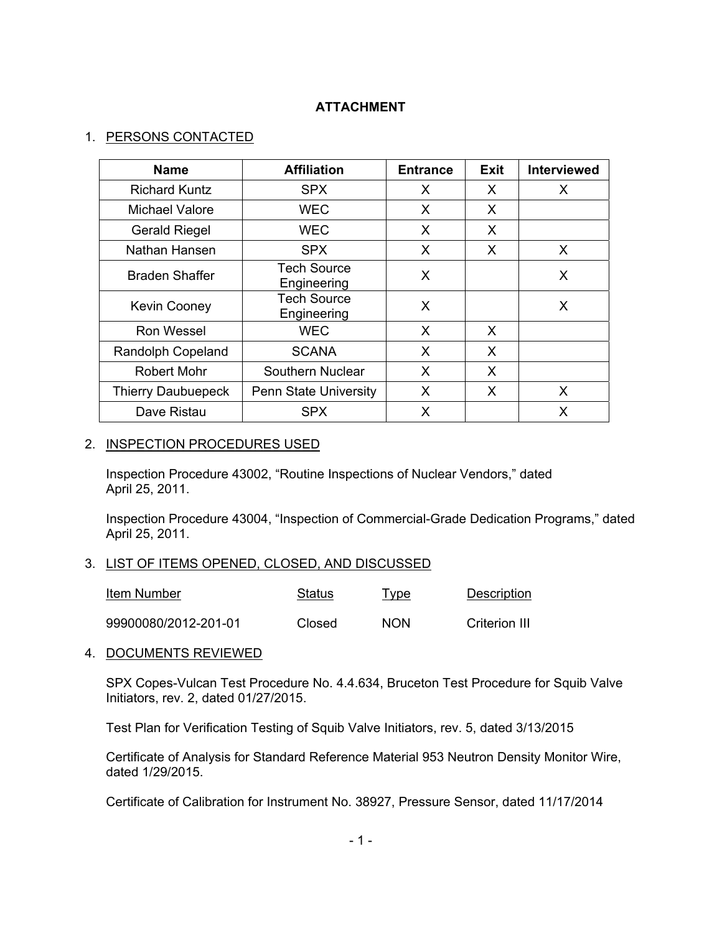# **ATTACHMENT**

# 1. PERSONS CONTACTED

| <b>Name</b>               | <b>Affiliation</b>                | <b>Entrance</b> | <b>Exit</b> | <b>Interviewed</b> |
|---------------------------|-----------------------------------|-----------------|-------------|--------------------|
| <b>Richard Kuntz</b>      | <b>SPX</b>                        | X               | X           | X                  |
| Michael Valore            | WEC                               | X               | X           |                    |
| <b>Gerald Riegel</b>      | <b>WEC</b>                        | X               | X           |                    |
| Nathan Hansen             | <b>SPX</b>                        | X               | X           | X                  |
| <b>Braden Shaffer</b>     | <b>Tech Source</b><br>Engineering | X               |             | X                  |
| <b>Kevin Cooney</b>       | <b>Tech Source</b><br>Engineering | X               |             | X                  |
| Ron Wessel                | <b>WEC</b>                        | X               | X           |                    |
| Randolph Copeland         | <b>SCANA</b>                      | X               | X           |                    |
| <b>Robert Mohr</b>        | Southern Nuclear                  | X               | X           |                    |
| <b>Thierry Daubuepeck</b> | <b>Penn State University</b>      | X               | X           | X                  |
| Dave Ristau               | <b>SPX</b>                        | X               |             | X                  |

## 2. INSPECTION PROCEDURES USED

Inspection Procedure 43002, "Routine Inspections of Nuclear Vendors," dated April 25, 2011.

Inspection Procedure 43004, "Inspection of Commercial-Grade Dedication Programs," dated April 25, 2011.

# 3. LIST OF ITEMS OPENED, CLOSED, AND DISCUSSED

| Item Number          | Status | <u>Type</u> | Description   |
|----------------------|--------|-------------|---------------|
| 99900080/2012-201-01 | Closed | <b>NON</b>  | Criterion III |

# 4. DOCUMENTS REVIEWED

SPX Copes-Vulcan Test Procedure No. 4.4.634, Bruceton Test Procedure for Squib Valve Initiators, rev. 2, dated 01/27/2015.

Test Plan for Verification Testing of Squib Valve Initiators, rev. 5, dated 3/13/2015

Certificate of Analysis for Standard Reference Material 953 Neutron Density Monitor Wire, dated 1/29/2015.

Certificate of Calibration for Instrument No. 38927, Pressure Sensor, dated 11/17/2014